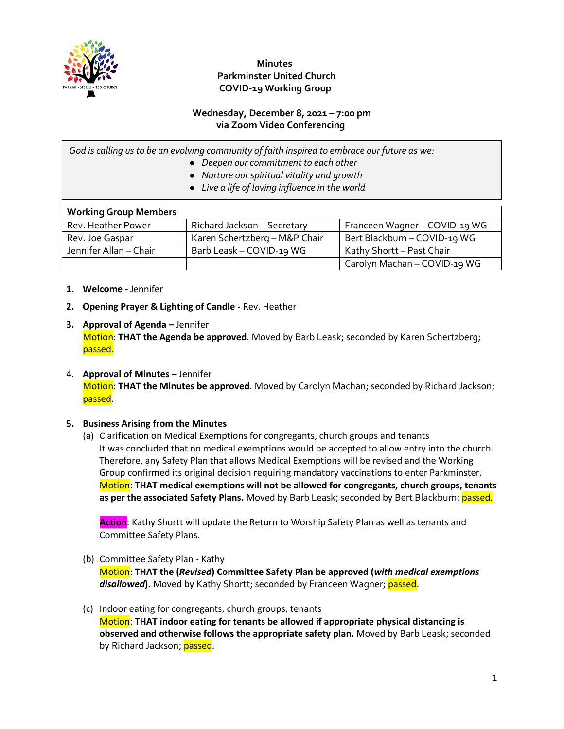

# **Minutes Parkminster United Church COVID-19 Working Group**

#### **Wednesday, December 8, 2021 – 7:00 pm via Zoom Video Conferencing**

*God is calling us to be an evolving community of faith inspired to embrace our future as we:*

- *Deepen our commitment to each other*
- *Nurture our spiritual vitality and growth*
- *Live a life of loving influence in the world*

| <b>Working Group Members</b> |                               |                               |
|------------------------------|-------------------------------|-------------------------------|
| Rev. Heather Power           | Richard Jackson - Secretary   | Franceen Wagner - COVID-19 WG |
| Rev. Joe Gaspar              | Karen Schertzberg - M&P Chair | Bert Blackburn - COVID-19 WG  |
| Jennifer Allan - Chair       | Barb Leask - COVID-19 WG      | Kathy Shortt - Past Chair     |
|                              |                               | Carolyn Machan - COVID-19 WG  |

- **1. Welcome -** Jennifer
- **2. Opening Prayer & Lighting of Candle -** Rev. Heather
- **3. Approval of Agenda –** Jennifer Motion: **THAT the Agenda be approved**. Moved by Barb Leask; seconded by Karen Schertzberg; passed.
- 4. **Approval of Minutes –** Jennifer Motion: **THAT the Minutes be approved**. Moved by Carolyn Machan; seconded by Richard Jackson; passed.

## **5. Business Arising from the Minutes**

(a) Clarification on Medical Exemptions for congregants, church groups and tenants It was concluded that no medical exemptions would be accepted to allow entry into the church. Therefore, any Safety Plan that allows Medical Exemptions will be revised and the Working Group confirmed its original decision requiring mandatory vaccinations to enter Parkminster. Motion: **THAT medical exemptions will not be allowed for congregants, church groups, tenants**  as per the associated Safety Plans. Moved by Barb Leask; seconded by Bert Blackburn; passed.

**Action**: Kathy Shortt will update the Return to Worship Safety Plan as well as tenants and Committee Safety Plans.

- (b) Committee Safety Plan Kathy Motion: **THAT the (***Revised***) Committee Safety Plan be approved (***with medical exemptions disallowed***).** Moved by Kathy Shortt; seconded by Franceen Wagner; passed.
- (c) Indoor eating for congregants, church groups, tenants Motion: **THAT indoor eating for tenants be allowed if appropriate physical distancing is observed and otherwise follows the appropriate safety plan.** Moved by Barb Leask; seconded by Richard Jackson; passed.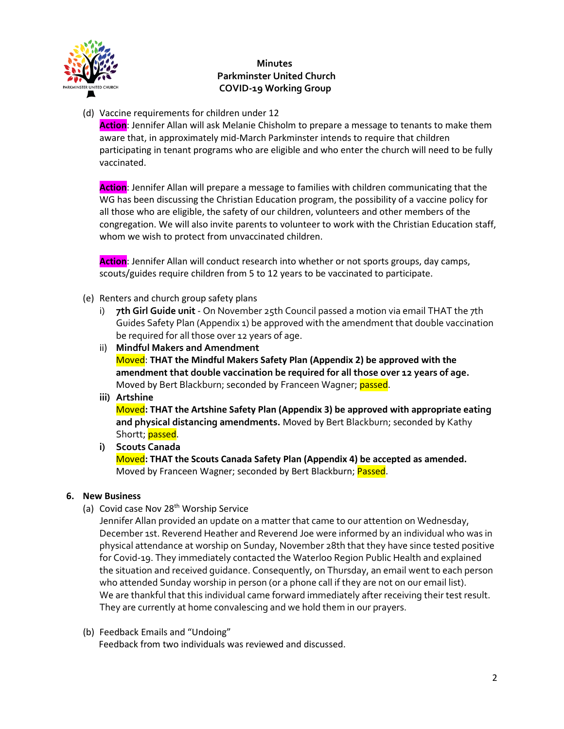

# **Minutes Parkminster United Church COVID-19 Working Group**

(d) Vaccine requirements for children under 12

**Action**: Jennifer Allan will ask Melanie Chisholm to prepare a message to tenants to make them aware that, in approximately mid-March Parkminster intends to require that children participating in tenant programs who are eligible and who enter the church will need to be fully vaccinated.

**Action**: Jennifer Allan will prepare a message to families with children communicating that the WG has been discussing the Christian Education program, the possibility of a vaccine policy for all those who are eligible, the safety of our children, volunteers and other members of the congregation. We will also invite parents to volunteer to work with the Christian Education staff, whom we wish to protect from unvaccinated children.

**Action**: Jennifer Allan will conduct research into whether or not sports groups, day camps, scouts/guides require children from 5 to 12 years to be vaccinated to participate.

- (e) Renters and church group safety plans
	- i) **7th Girl Guide unit** On November 25th Council passed a motion via email THAT the 7th Guides Safety Plan (Appendix 1) be approved with the amendment that double vaccination be required for all those over 12 years of age.
	- ii) **Mindful Makers and Amendment** Moved: **THAT the Mindful Makers Safety Plan (Appendix 2) be approved with the amendment that double vaccination be required for all those over 12 years of age.** Moved by Bert Blackburn; seconded by Franceen Wagner; passed.
	- **iii) Artshine**

Moved**: THAT the Artshine Safety Plan (Appendix 3) be approved with appropriate eating and physical distancing amendments.** Moved by Bert Blackburn; seconded by Kathy Shortt; passed.

**i) Scouts Canada**  Moved**: THAT the Scouts Canada Safety Plan (Appendix 4) be accepted as amended.**  Moved by Franceen Wagner; seconded by Bert Blackburn; Passed.

## **6. New Business**

(a) Covid case Nov 28<sup>th</sup> Worship Service

Jennifer Allan provided an update on a matter that came to our attention on Wednesday, December 1st. Reverend Heather and Reverend Joe were informed by an individual who was in physical attendance at worship on Sunday, November 28th that they have since tested positive for Covid-19. They immediately contacted the Waterloo Region Public Health and explained the situation and received guidance. Consequently, on Thursday, an email went to each person who attended Sunday worship in person (or a phone call if they are not on our email list). We are thankful that this individual came forward immediately after receiving their test result. They are currently at home convalescing and we hold them in our prayers.

(b) Feedback Emails and "Undoing"

Feedback from two individuals was reviewed and discussed.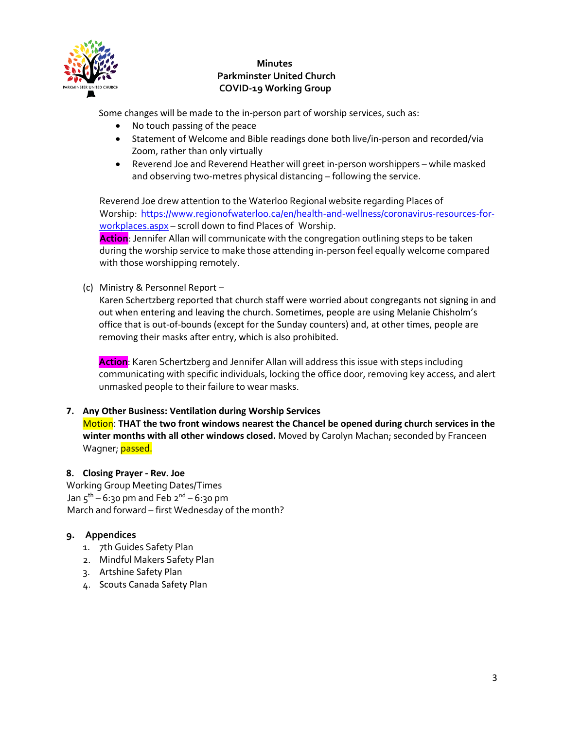

# **Minutes Parkminster United Church COVID-19 Working Group**

Some changes will be made to the in-person part of worship services, such as:

- No touch passing of the peace
- Statement of Welcome and Bible readings done both live/in-person and recorded/via Zoom, rather than only virtually
- Reverend Joe and Reverend Heather will greet in-person worshippers while masked and observing two-metres physical distancing – following the service.

Reverend Joe drew attention to the Waterloo Regional website regarding Places of Worship: [https://www.regionofwaterloo.ca/en/health-and-wellness/coronavirus-resources-for](https://www.regionofwaterloo.ca/en/health-and-wellness/coronavirus-resources-for-%09workplaces.aspx)[workplaces.aspx](https://www.regionofwaterloo.ca/en/health-and-wellness/coronavirus-resources-for-%09workplaces.aspx) – scroll down to find Places of Worship.

**Action**: Jennifer Allan will communicate with the congregation outlining steps to be taken during the worship service to make those attending in-person feel equally welcome compared with those worshipping remotely.

(c) Ministry & Personnel Report –

Karen Schertzberg reported that church staff were worried about congregants not signing in and out when entering and leaving the church. Sometimes, people are using Melanie Chisholm's office that is out-of-bounds (except for the Sunday counters) and, at other times, people are removing their masks after entry, which is also prohibited.

**Action**: Karen Schertzberg and Jennifer Allan will address this issue with steps including communicating with specific individuals, locking the office door, removing key access, and alert unmasked people to their failure to wear masks.

## **7. Any Other Business: Ventilation during Worship Services**

Motion: **THAT the two front windows nearest the Chancel be opened during church services in the winter months with all other windows closed.** Moved by Carolyn Machan; seconded by Franceen Wagner; **passed.** 

## **8. Closing Prayer - Rev. Joe**

Working Group Meeting Dates/Times Jan  $5^{th}$  – 6:30 pm and Feb  $2^{nd}$  – 6:30 pm March and forward – first Wednesday of the month?

## **9. Appendices**

- 1. 7th Guides Safety Plan
- 2. Mindful Makers Safety Plan
- 3. Artshine Safety Plan
- 4. Scouts Canada Safety Plan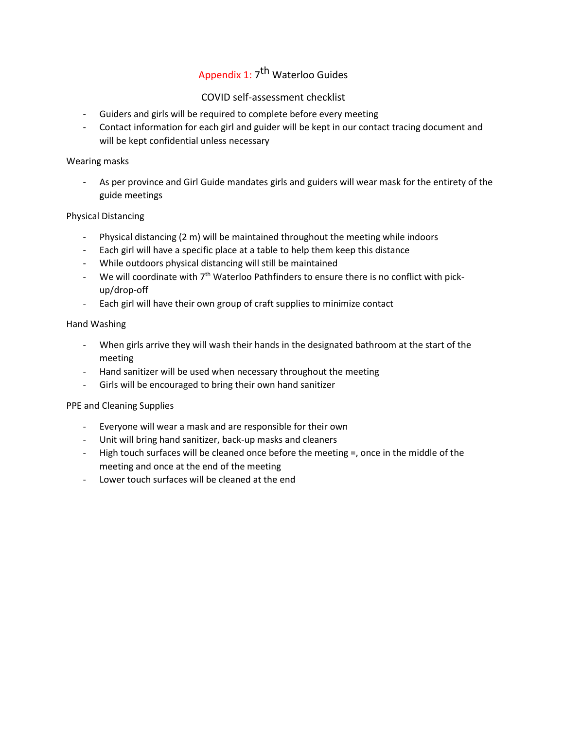# Appendix 1: 7<sup>th</sup> Waterloo Guides

## COVID self-assessment checklist

- Guiders and girls will be required to complete before every meeting
- Contact information for each girl and guider will be kept in our contact tracing document and will be kept confidential unless necessary

#### Wearing masks

As per province and Girl Guide mandates girls and guiders will wear mask for the entirety of the guide meetings

#### Physical Distancing

- Physical distancing (2 m) will be maintained throughout the meeting while indoors
- Each girl will have a specific place at a table to help them keep this distance
- While outdoors physical distancing will still be maintained
- We will coordinate with  $7<sup>th</sup>$  Waterloo Pathfinders to ensure there is no conflict with pickup/drop-off
- Each girl will have their own group of craft supplies to minimize contact

#### Hand Washing

- When girls arrive they will wash their hands in the designated bathroom at the start of the meeting
- Hand sanitizer will be used when necessary throughout the meeting
- Girls will be encouraged to bring their own hand sanitizer

#### PPE and Cleaning Supplies

- Everyone will wear a mask and are responsible for their own
- Unit will bring hand sanitizer, back-up masks and cleaners
- High touch surfaces will be cleaned once before the meeting =, once in the middle of the meeting and once at the end of the meeting
- Lower touch surfaces will be cleaned at the end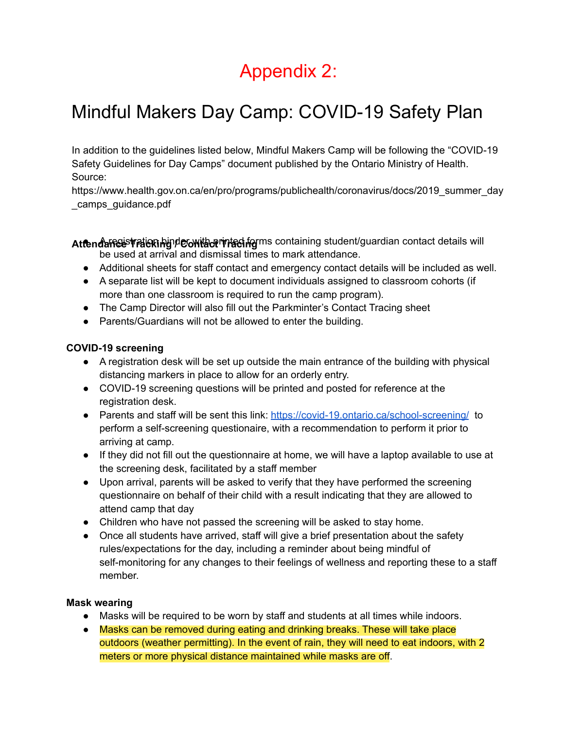# Appendix 2:

# Mindful Makers Day Camp: COVID-19 Safety Plan

In addition to the guidelines listed below, Mindful Makers Camp will be following the "COVID-19 Safety Guidelines for Day Camps" document published by the Ontario Ministry of Health. Source:

https://www.health.gov.on.ca/en/pro/programs/publichealth/coronavirus/docs/2019\_summer\_day \_camps\_guidance.pdf

Attendance TrateRhype Contact Traching containing student/guardian contact details will be used at arrival and dismissal times to mark attendance.

- Additional sheets for staff contact and emergency contact details will be included as well.
- A separate list will be kept to document individuals assigned to classroom cohorts (if more than one classroom is required to run the camp program).
- The Camp Director will also fill out the Parkminter's Contact Tracing sheet
- Parents/Guardians will not be allowed to enter the building.

# **COVID-19 screening**

- A registration desk will be set up outside the main entrance of the building with physical distancing markers in place to allow for an orderly entry.
- COVID-19 screening questions will be printed and posted for reference at the registration desk.
- Parents and staff will be sent this link: https://covid-19.ontario.ca/school-screening/ to perform a self-screening questionaire, with a recommendation to perform it prior to arriving at camp.
- If they did not fill out the questionnaire at home, we will have a laptop available to use at the screening desk, facilitated by a staff member
- Upon arrival, parents will be asked to verify that they have performed the screening questionnaire on behalf of their child with a result indicating that they are allowed to attend camp that day
- Children who have not passed the screening will be asked to stay home.
- Once all students have arrived, staff will give a brief presentation about the safety rules/expectations for the day, including a reminder about being mindful of self-monitoring for any changes to their feelings of wellness and reporting these to a staff member.

# **Mask wearing**

- Masks will be required to be worn by staff and students at all times while indoors.
- Masks can be removed during eating and drinking breaks. These will take place outdoors (weather permitting). In the event of rain, they will need to eat indoors, with 2 meters or more physical distance maintained while masks are off.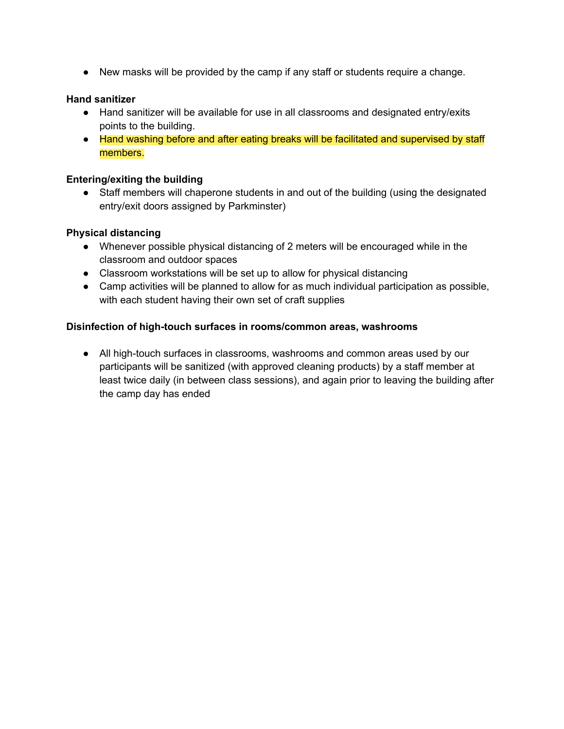● New masks will be provided by the camp if any staff or students require a change.

## **Hand sanitizer**

- Hand sanitizer will be available for use in all classrooms and designated entry/exits points to the building.
- Hand washing before and after eating breaks will be facilitated and supervised by staff members.

#### **Entering/exiting the building**

• Staff members will chaperone students in and out of the building (using the designated entry/exit doors assigned by Parkminster)

#### **Physical distancing**

- Whenever possible physical distancing of 2 meters will be encouraged while in the classroom and outdoor spaces
- Classroom workstations will be set up to allow for physical distancing
- Camp activities will be planned to allow for as much individual participation as possible, with each student having their own set of craft supplies

#### **Disinfection of high-touch surfaces in rooms/common areas, washrooms**

● All high-touch surfaces in classrooms, washrooms and common areas used by our participants will be sanitized (with approved cleaning products) by a staff member at least twice daily (in between class sessions), and again prior to leaving the building after the camp day has ended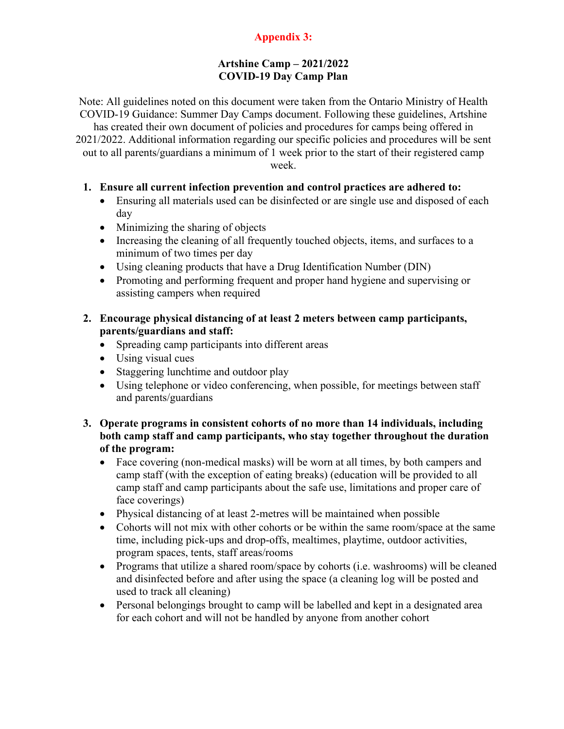# **Appendix 3:**

# **Artshine Camp – 2021/2022 COVID-19 Day Camp Plan**

Note: All guidelines noted on this document were taken from the Ontario Ministry of Health COVID-19 Guidance: Summer Day Camps document. Following these guidelines, Artshine has created their own document of policies and procedures for camps being offered in

2021/2022. Additional information regarding our specific policies and procedures will be sent out to all parents/guardians a minimum of 1 week prior to the start of their registered camp week.

# **1. Ensure all current infection prevention and control practices are adhered to:**

- Ensuring all materials used can be disinfected or are single use and disposed of each day
- Minimizing the sharing of objects
- Increasing the cleaning of all frequently touched objects, items, and surfaces to a minimum of two times per day
- Using cleaning products that have a Drug Identification Number (DIN)
- Promoting and performing frequent and proper hand hygiene and supervising or assisting campers when required
- **2. Encourage physical distancing of at least 2 meters between camp participants, parents/guardians and staff:**
	- Spreading camp participants into different areas
	- Using visual cues
	- Staggering lunchtime and outdoor play
	- Using telephone or video conferencing, when possible, for meetings between staff and parents/guardians
- **3. Operate programs in consistent cohorts of no more than 14 individuals, including both camp staff and camp participants, who stay together throughout the duration of the program:**
	- Face covering (non-medical masks) will be worn at all times, by both campers and camp staff (with the exception of eating breaks) (education will be provided to all camp staff and camp participants about the safe use, limitations and proper care of face coverings)
	- Physical distancing of at least 2-metres will be maintained when possible
	- Cohorts will not mix with other cohorts or be within the same room/space at the same time, including pick-ups and drop-offs, mealtimes, playtime, outdoor activities, program spaces, tents, staff areas/rooms
	- Programs that utilize a shared room/space by cohorts (i.e. washrooms) will be cleaned and disinfected before and after using the space (a cleaning log will be posted and used to track all cleaning)
	- Personal belongings brought to camp will be labelled and kept in a designated area for each cohort and will not be handled by anyone from another cohort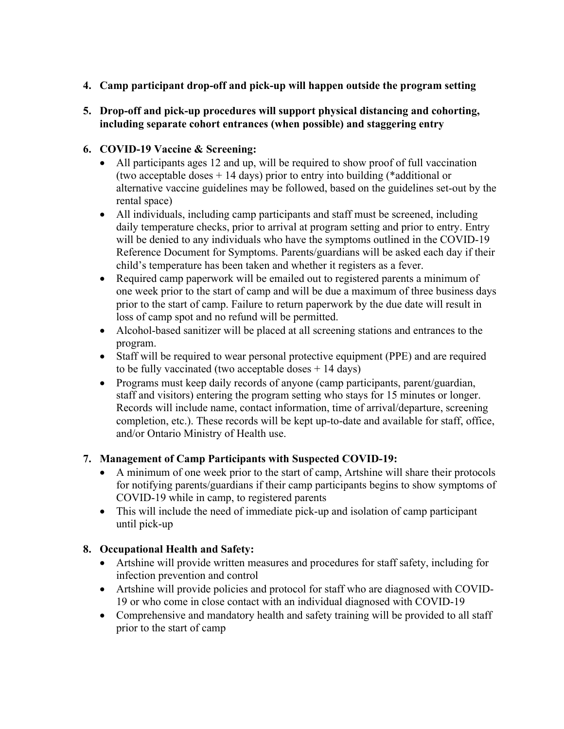- **4. Camp participant drop-off and pick-up will happen outside the program setting**
- **5. Drop-off and pick-up procedures will support physical distancing and cohorting, including separate cohort entrances (when possible) and staggering entry**

# **6. COVID-19 Vaccine & Screening:**

- All participants ages 12 and up, will be required to show proof of full vaccination (two acceptable doses + 14 days) prior to entry into building (\*additional or alternative vaccine guidelines may be followed, based on the guidelines set-out by the rental space)
- All individuals, including camp participants and staff must be screened, including daily temperature checks, prior to arrival at program setting and prior to entry. Entry will be denied to any individuals who have the symptoms outlined in the COVID-19 Reference Document for Symptoms. Parents/guardians will be asked each day if their child's temperature has been taken and whether it registers as a fever.
- Required camp paperwork will be emailed out to registered parents a minimum of one week prior to the start of camp and will be due a maximum of three business days prior to the start of camp. Failure to return paperwork by the due date will result in loss of camp spot and no refund will be permitted.
- Alcohol-based sanitizer will be placed at all screening stations and entrances to the program.
- Staff will be required to wear personal protective equipment (PPE) and are required to be fully vaccinated (two acceptable doses  $+$  14 days)
- Programs must keep daily records of anyone (camp participants, parent/guardian, staff and visitors) entering the program setting who stays for 15 minutes or longer. Records will include name, contact information, time of arrival/departure, screening completion, etc.). These records will be kept up-to-date and available for staff, office, and/or Ontario Ministry of Health use.

# **7. Management of Camp Participants with Suspected COVID-19:**

- A minimum of one week prior to the start of camp, Artshine will share their protocols for notifying parents/guardians if their camp participants begins to show symptoms of COVID-19 while in camp, to registered parents
- This will include the need of immediate pick-up and isolation of camp participant until pick-up

# **8. Occupational Health and Safety:**

- Artshine will provide written measures and procedures for staff safety, including for infection prevention and control
- Artshine will provide policies and protocol for staff who are diagnosed with COVID-19 or who come in close contact with an individual diagnosed with COVID-19
- Comprehensive and mandatory health and safety training will be provided to all staff prior to the start of camp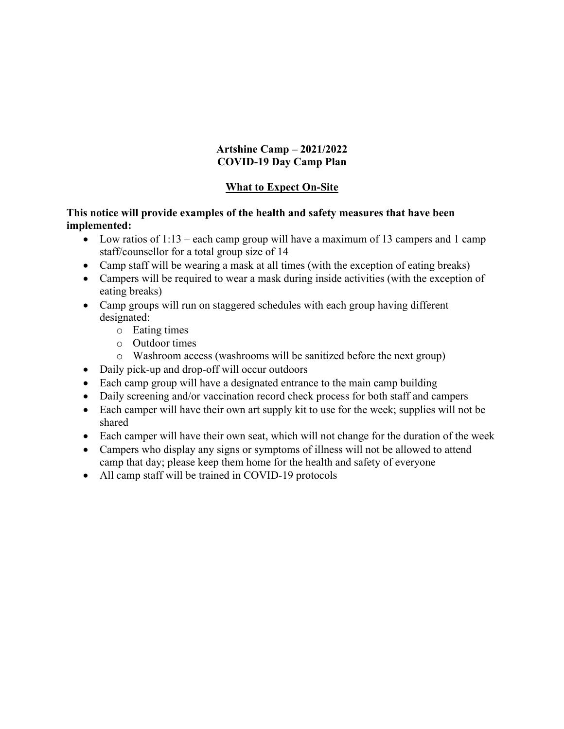# **Artshine Camp – 2021/2022 COVID-19 Day Camp Plan**

# **What to Expect On-Site**

# **This notice will provide examples of the health and safety measures that have been implemented:**

- Low ratios of  $1:13$  each camp group will have a maximum of 13 campers and 1 camp staff/counsellor for a total group size of 14
- Camp staff will be wearing a mask at all times (with the exception of eating breaks)
- Campers will be required to wear a mask during inside activities (with the exception of eating breaks)
- Camp groups will run on staggered schedules with each group having different designated:
	- o Eating times
	- o Outdoor times
	- o Washroom access (washrooms will be sanitized before the next group)
- Daily pick-up and drop-off will occur outdoors
- Each camp group will have a designated entrance to the main camp building
- Daily screening and/or vaccination record check process for both staff and campers
- Each camper will have their own art supply kit to use for the week; supplies will not be shared
- Each camper will have their own seat, which will not change for the duration of the week
- Campers who display any signs or symptoms of illness will not be allowed to attend camp that day; please keep them home for the health and safety of everyone
- All camp staff will be trained in COVID-19 protocols